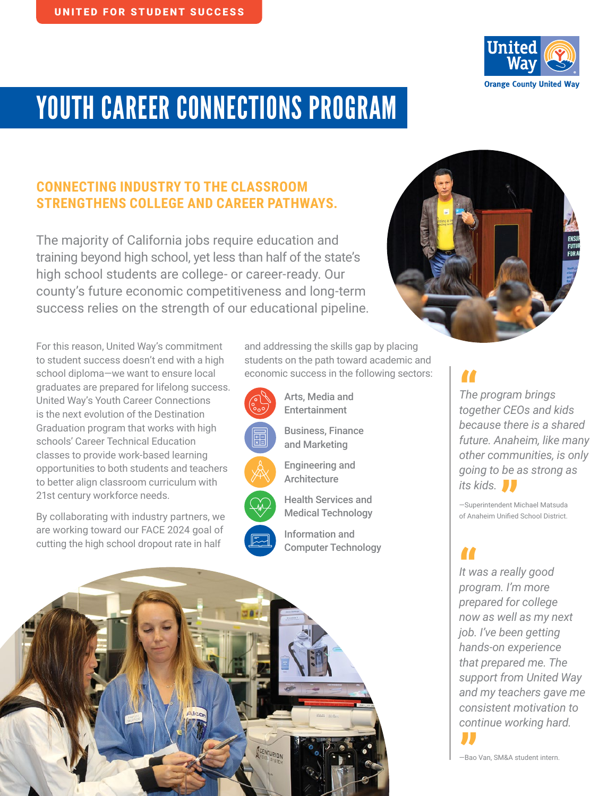

# YOUTH CAREER CONNECTIONS PROGRAM

# **CONNECTING INDUSTRY TO THE CLASSROOM STRENGTHENS COLLEGE AND CAREER PATHWAYS.**

The majority of California jobs require education and training beyond high school, yet less than half of the state's high school students are college- or career-ready. Our county's future economic competitiveness and long-term success relies on the strength of our educational pipeline.

For this reason, United Way's commitment to student success doesn't end with a high school diploma—we want to ensure local graduates are prepared for lifelong success. United Way's Youth Career Connections is the next evolution of the Destination Graduation program that works with high schools' Career Technical Education classes to provide work-based learning opportunities to both students and teachers to better align classroom curriculum with 21st century workforce needs.

By collaborating with industry partners, we are working toward our FACE 2024 goal of cutting the high school dropout rate in half

and addressing the skills gap by placing students on the path toward academic and economic success in the following sectors:



Arts, Media and Entertainment

Business, Finance and Marketing

Engineering and **Architecture** 

Health Services and Medical Technology

Information and Computer Technology





**"**<br>The<br>toge *The program brings together CEOs and kids because there is a shared future. Anaheim, like many other communities, is only going to be as strong as its kids.* **"**

—Superintendent Michael Matsuda of Anaheim Unified School District.

*It was a really good program. I'm more prepared for college now as well as my next job. I've been getting hands-on experience that prepared me. The support from United Way and my teachers gave me consistent motivation to continue working hard. <u>|</u>*<br>|t wa<br>prog